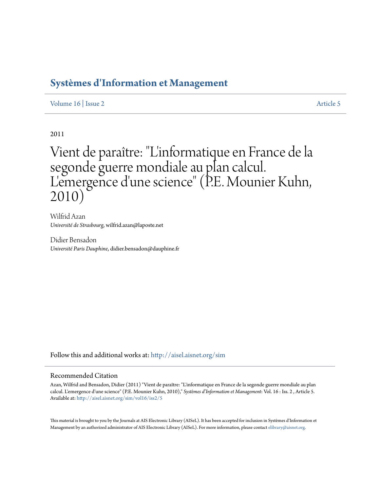## **[Systèmes d'Information et Management](http://aisel.aisnet.org/sim?utm_source=aisel.aisnet.org%2Fsim%2Fvol16%2Fiss2%2F5&utm_medium=PDF&utm_campaign=PDFCoverPages)**

[Volume 16](http://aisel.aisnet.org/sim/vol16?utm_source=aisel.aisnet.org%2Fsim%2Fvol16%2Fiss2%2F5&utm_medium=PDF&utm_campaign=PDFCoverPages) | [Issue 2](http://aisel.aisnet.org/sim/vol16/iss2?utm_source=aisel.aisnet.org%2Fsim%2Fvol16%2Fiss2%2F5&utm_medium=PDF&utm_campaign=PDFCoverPages) [Article 5](http://aisel.aisnet.org/sim/vol16/iss2/5?utm_source=aisel.aisnet.org%2Fsim%2Fvol16%2Fiss2%2F5&utm_medium=PDF&utm_campaign=PDFCoverPages)

2011

# Vient de paraître: "L'informatique en France de la segonde guerre mondiale au plan calcul. L' emergence d'une science" (P.E. Mounier Kuhn, 2010)

Wilfrid Azan *Université de Strasbourg*, wilfrid.azan@laposte.net

Didier Bensadon *Université Paris Dauphine*, didier.bensadon@dauphine.fr

Follow this and additional works at: [http://aisel.aisnet.org/sim](http://aisel.aisnet.org/sim?utm_source=aisel.aisnet.org%2Fsim%2Fvol16%2Fiss2%2F5&utm_medium=PDF&utm_campaign=PDFCoverPages)

#### Recommended Citation

Azan, Wilfrid and Bensadon, Didier (2011) "Vient de paraître: "L'informatique en France de la segonde guerre mondiale au plan calcul. L'emergence d'une science" (P.E. Mounier Kuhn, 2010)," *Systèmes d'Information et Management*: Vol. 16 : Iss. 2 , Article 5. Available at: [http://aisel.aisnet.org/sim/vol16/iss2/5](http://aisel.aisnet.org/sim/vol16/iss2/5?utm_source=aisel.aisnet.org%2Fsim%2Fvol16%2Fiss2%2F5&utm_medium=PDF&utm_campaign=PDFCoverPages)

This material is brought to you by the Journals at AIS Electronic Library (AISeL). It has been accepted for inclusion in Systèmes d'Information et Management by an authorized administrator of AIS Electronic Library (AISeL). For more information, please contact [elibrary@aisnet.org](mailto:elibrary@aisnet.org%3E).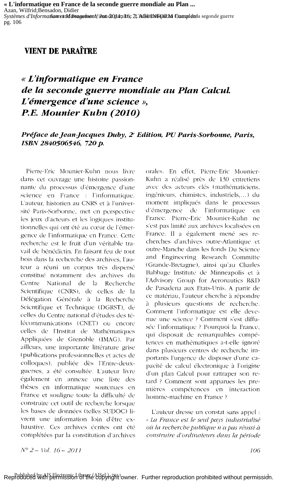« L'informatique en France de la seconde guerre mondiale au Plan ... Azan, Wilfrid; Bensadon, Didier Systèmes d'Informationne ind dreagedount/it un dentant 6: 21 h Bh fin FORM Crample tela segonde guerre pg. 106

### **VIENT DE PARAÎTRE**

### « L'informatique en France de la seconde guerre mondiale au Plan Calcul. L'émergence d'une science », P.E. Mounier Kubn (2010)

### Préface de Jean-Jacques Duby, 2<sup>\*</sup> Edition, PU Paris-Sorbonne, Paris, ISBN 2840506546, 720 p.

Pierre-Eric Mounier-Kuhn nous livre dans cet ouvrage une histoire passionnante du processus d'émergence d'une science en France : l'informatique. L'auteur, historien au CNRS et à l'université Paris-Sorbonne, met en perspective les jeux d'acteurs et les logiques institutionnelles qui ont été au cœur de l'émergence de l'informatique en France. Cette recherche est le fruit d'un véritable travail de bénédictin. En faisant feu de tout bois dans la recherche des archives, l'auteur a réuni un corpus très dispersé constitué notamment des archives du Centre National de la Recherche Scientifique (CNRS), de celles de la Délégation Générale à la Recherche Scientifique et Technique (DGRST), de celles du Centre national d'études des télécommunications (CNET) ou encore celles de l'Institut de Mathématiques Appliquées de Grenoble (IMAG). Par ailleurs, une importante littérature grise (publications professionnelles et actes de colloques), publiée dès l'Entre-deuxguerres, a été consultée. L'auteur livre également en annexe une liste des thèses en informatique soutenues en France et souligne toute la difficulté de construire cet outil de recherche lorsque les bases de données (telles SUDOC) livrent une information loin d'être exhaustive. Ces archives écrites ont été complétées par la constitution d'archives orales. En effet, Pierre-Eric Mounier-Kuhn a réalisé près de 130 entretiens avec des acteurs clés (mathématiciens, ingénieurs, chimistes, industriels,...) du moment impliqués dans le processus d'émergence  $\rm{de}$ l'informatique  $en$ France. Pierre-Eric Mounier-Kuhn ne s'est pas limité aux archives localisées en France. Il a également mené ses recherches d'archives outre-Atlantique et outre-Manche dans les fonds Du Science and Engineering Research Committe (Grande-Bretagne), ainsi qu'au Charles Babbage Institute de Minneapolis et à l'Advisory Group for Aeronautics R&D de Pasadena aux Etats-Unis. A partir de ce matériau, l'auteur cherche à répondre à plusieurs questions de recherche. Comment l'informatique est elle devenue une science ? Comment s'est diffusée l'informatique ? Pourquoi la France, qui disposait de remarquables compétences en mathématiques a-t-elle ignoré dans plusieurs centres de recherche importants l'urgence de disposer d'une capacité de calcul électronique à l'origine d'un plan Calcul pour rattraper son retard? Comment sont apparues les premières compétences en interaction homme-machine en France?

L'auteur dresse un constat sans appel : « La France est le seul pays industrialisé où la recherche publique n'a pas réussi à construire d'ordinateurs dans la période

 $N^{\circ}$  2 – Vol. 16 – 2011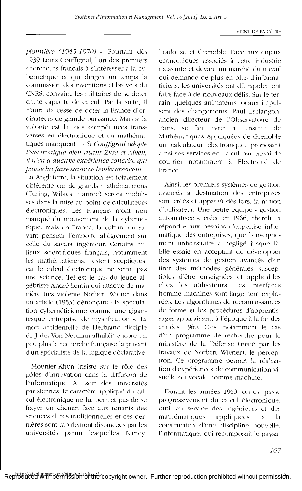pionnière (1945-1970) ». Pourtant dès 1939 Louis Couffignal, l'un des premiers chercheurs français à s'intéresser à la cvbernétique et qui dirigea un temps la commission des inventions et brevets du CNRS, convainc les militaires de se doter d'une capacité de calcul. Par la suite, Il n'aura de cesse de doter la France d'ordinateurs de grande puissance. Mais si la volonté est là, des compétences transverses en électronique et en mathématiques manquent : « Si Couffignal adopte l'électronique bien avant Zuse et Aiken, il n'en a aucune expérience concrète qui puisse lui faire saisir ce bouleversement ». En Angleterre, la situation est totalement différente car de grands mathématiciens (Turing, Wilkes, Hartree) seront mobilisés dans la mise au point de calculateurs électroniques. Les Français n'ont rien manqué du mouvement de la cybernétique, mais en France, la culture du savant penseur l'emporte allègrement sur celle du savant ingénieur. Certains milieux scientifiques français, notamment les mathématiciens, restent sceptiques, car le calcul électronique ne serait pas une science. Tel est le cas du jeune algébriste André Lentin qui attaque de manière très violente Norbert Wiener dans un article (1953) dénonçant « la spéculation cybernéticienne comme une gigantesque entreprise de mystification ». La mort accidentelle de Herbrand disciple de John Von Neuman affaiblit encore un peu plus la recherche française la privant d'un spécialiste de la logique déclarative.

Mounier-Khun insiste sur le rôle des pôles d'innovation dans la diffusion de l'informatique. Au sein des universités parisiennes, le caractère appliqué du calcul électronique ne lui permet pas de se frayer un chemin face aux tenants des sciences dures traditionnelles et ces dernières sont rapidement distancées par les universités parmi lesquelles Nancy,

Toulouse et Grenoble. Face aux enjeux économiques associés à cette industrie naissante et devant un marché du travail qui demande de plus en plus d'informaticiens, les universités ont dû rapidement faire face à de nouveaux défis. Sur le terrain, quelques animateurs locaux impulsent des changements. Paul Esclangon, ancien directeur de l'Observatoire de Paris, se fait livrer à l'Institut de Mathématiques Appliquées de Grenoble un calculateur électronique, proposant ainsi ses services en calcul par envoi de courrier notamment à Electricité de France.

Ainsi, les premiers systèmes de gestion avancés à destination des entreprises sont créés et apparaît dès lors, la notion d'utilisateur. Une petite équipe « gestion automatisée », créée en 1966, cherche à répondre aux besoins d'expertise informatique des entreprises, que l'enseignement universitaire a négligé jusque là. Elle essaie en acceptant de développer des systèmes de gestion avancés d'en tirer des méthodes générales susceptibles d'être enseignées et applicables chez les utilisateurs. Les interfaces homme machines sont largement explorées. Les algorithmes de reconnaissances de forme et les procédures d'apprentissages apparaissent à l'époque à la fin des années 1960. C'est notamment le cas d'un programme de recherche pour le ministère de la Défense (initié par les travaux de Norbert Wiener), le perceptron. Ce programme permet la réalisation d'expériences de communication visuelle ou vocale homme-machine

Durant les années 1960, on est passé progressivement du calcul électronique, outil au service des ingénieurs et des mathématiques appliquées, à la construction d'une discipline nouvelle, l'informatique, qui recomposait le paysa-